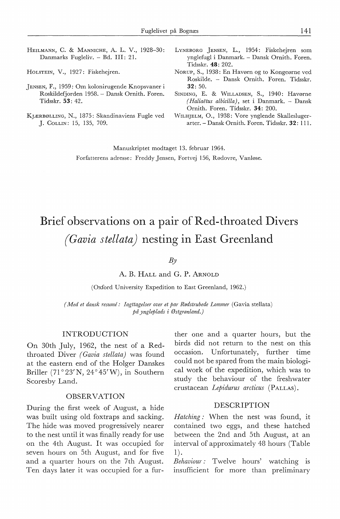- HEILMANN, c. & MANNICHE, A. L. V., 1928-30: Danmarks Fugleliv. - Bd. III: 21.
- HoLSTEIN, V., 1927: Fiskehejren.
- JENSEN, F., 1959: Om kolonirugende Knopsvaner i Roskildefjorden 1958. - Dansk Ornith. Foren. Tidsskr. **53:** 42.
- KJÆRBØLLING, N., 1875: Skandinaviens Fugle ved J. CoLLIN: 15, 135, 709.
- LYNEBORG JENSEN, L., 1954: Fiskehejren som ynglefugl i Danmark. - Dansk Ornith. Foren. Tidsskr. **48:** 202.
- Norup, S., 1938: En Havørn og to Kongeørne ved Roskilde. - Dansk Ornith. Foren. Tidsskr. **32:** 50.
- SINDING, E. & WILLADSEN, S., 1940: Havørne *( Haliae·tus albicilla),* set i Danmark. - Dansk Ornith. Foren. Tidsskr. **34:** 200.
- WILHJELM, 0., 1938: Vore ynglende Skalleslugerarter. - Dansk Ornith. Foren. Tidsskr. **32:** 111.

Manuskriptet modtaget 13. februar 1964. Forfatterens adresse: Freddy Jensen, Fortvej 156, Rødovre, Vanløse.

# Brief observations on a pair of Red-throated Divers *(Gavia stellata)* **nesting in East Greenland**

## *By*

A. **B.** HALL and G. **P.** ARNOLD

(Oxford University Expedition to East Greenland, 1962.)

*(Med et dansk resume: Iagttagelser over et par Rødstrubede Lommer* (Gavia stellata) *på yngleplads i Østgrønland.)* 

#### INTRODUCTION

On 30th July, 1962, the nest of a Redthroated Diver *(Gavia stellata)* was found at the eastern end of the Holger Danskes Briller (71°23'N, 24°45'W), in Southern Scoresby Land.

## OBSERVATION

During the first week of August, a hide was built using old foxtraps and sacking. The hide was moved progressively nearer to the nest until it was finally ready for use on the 4th August. It was occupied for seven hours on 5th August, and for five and a quarter hours on the 7th August. Ten days later it was occupied for a fur-

ther one and a quarter hours, but the birds did not return to the nest on this occasion. Unfortunately, further time could not be spared from the main biological work of the expedition, which was to study the behaviour of the freshwater crustacean *Lepidurus arcticus* (PALLAS).

## DESCRIPTION

*Hatching :* When the nest was found, it contained two eggs, and these hatched between the 2nd and 5th August, at an interval of approximately 48 hours (Table 1).

*Behaviour :* Twelve hours' watching is insufficient for more than preliminary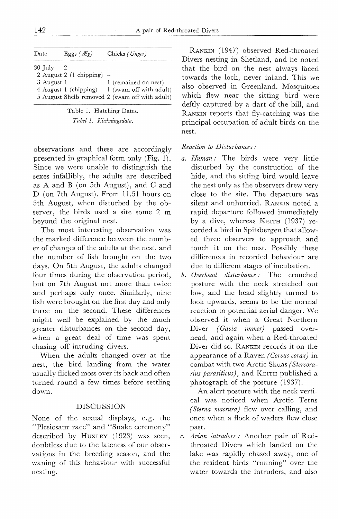| Date.                   | Eggs $(Eg)$                                                  | Chicks (Unger)                                                                                     |
|-------------------------|--------------------------------------------------------------|----------------------------------------------------------------------------------------------------|
| $30$ July<br>3 August 1 | 2 August 2 $(1 \text{ chipping})$ –<br>4 August 1 (chipping) | 1 (remained on nest)<br>1 (swam off with adult)<br>5 August Shells removed 2 (swam off with adult) |

| Table 1. Hatching Dates. |
|--------------------------|
| Tabel 1. Klækningsdata.  |

observations and these are accordingly presen ted in graphical form only (Fig. 1). Since we were unable to distinguish the sexes infallibly, the adults are described as A and B (on 5th August), and C and D (on 7th August). From 11.51 hours on 5th August, when disturbed by the observer, the birds used a site some 2 m beyond the original nest.

The most interesting observation was the marked difference between the number of changes of the adults at the nest, and the number of fish brought on the two days. On 5th August, the adults changed four times during the observation period, but on 7th August not more than twice and perhaps only once. Similarly, nine fish were brought on the first day and only three on the second. These differences might well be explained by the much greater disturbances on the second day, when a great deal of time was spent chasing off intruding divers.

When the adults changed over at the nest, the bird landing from the water usually flicked moss over its back and often turned round a few times before settling down.

# DISCUSSION

None of the sexual displays, e.g. the "Plesiosaur race" and "Snake ceremony'' described by HUXLEY (1923) was seen, doubtless due to the lateness of our observations in the breeding season, and the waning of this behaviour with successful nesting.

RANKIN (1947) observed Red-throated Divers nesting in Shetland, and he noted that the bird on the nest always faced towards the loch, never inland. This we also observed in Greenland. Mosquitoes which flew near the sitting bird were deftly captured by a dart of the bill, and RANKIN reports that fly-catching was the principal occupation of adult birds on the nest.

# *Reaction to Disturbances:*

- *a. Human :* The birds were very little disturbed by the construction of the hide, and the sitting bird would leave the nest only as the observers drew very close to the site. The departure was silent and unhurried. RANKIN noted a rapid departure followed immediately by a dive, whereas KEITH ( 1937) recorded a bird in Spitsbergen that allowed three observers to approach and touch it on the nest. Possibly these differences in recorded behaviour are due to different stages of incubation.
- *b. Overhead disturbance:* The crouched posture with the neck: stretched out low, and the head slightly turned to look upwards, seems to be the normal reaction to potential aerial danger. We observed it when a Great Northern Diver *(Gavia immer)* passed overhead, and again when a Red-throated Diver did so. RANKIN records it on the appearance of a Raven *(Corvus corax)* in combat with two Arctic Skuas *(Stercorarius parasiticus),* and KEITH published a photograph of the posture (1937).

An alert posture with the neck vertical was noticed when Arctic Terns *(Sterna macrura)* flew over calling, and once when a flock of waders flew close past.

*c. Avian intruders:* Another pair of Redthroated Divers which landed on the lake was rapidly chased away, one of the resident birds "running" over the water towards the intruders, and also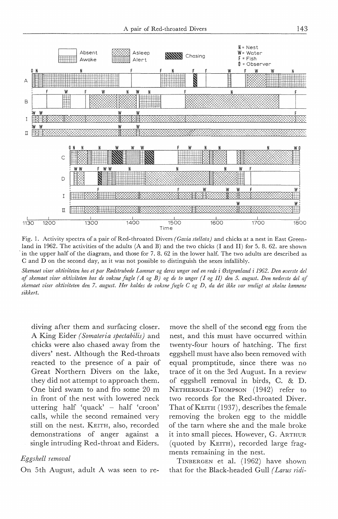

Fig. 1. Activity spectra of a pair of Red-throated Divers *(Gavia stellata)* and chicks at a nest in East Greenland in 1962. The activities of the adults (A and B) and the two chicks (I and II) for 5. 8. 62. are shown in the upper half of the diagram, and those for 7. 8. 62 in the lower half. The two adults are described as C and D on the second day, as it was not possible to distinguish the sexes infallibly.

*Skemaet viser aktiviteten hos et par Rødstrubede Lommer og deres unger ved en rede* i *Østgrønland* i *1962. Den øverste del af skemaet viser aktiviteten hos de voksne fugle ( A og B) og de to unger (I og II) den 5. august. Den nederste del af skemaet viser aktiviteten den 7. august. Her kaldes de voksne fugle C og D, da det ikke var muligt at skelne kønnene sikkert.* 

diving after them and surfacing doser. A King Eider *(Somateria spectabilis)* and chicks were also chased away from the divers' nest. Although the Red-throats reacted to the presence of a pair of Great Northern Divers on the lake, they did not attempt to approach them. One bird swam to and fro some 20 m in front of the nest with lowered neck uttering half 'quack' - half 'croon' calls, while the second remained very still on the nest. KEITH, also, recorded demonstrations of anger against a single intruding Red-throat and Eiders.

## *Eggshell removal*

On 5th August, adult A was seen to re-

move the shell of the second egg from the nest, and this must have occurred within twenty-four hours of hatching. The first eggshell must have also been removed with equal promptitude, since there was no trace of it on the 3rd August. In a review of eggshell removal in birds, C. & D. NETHERSOLE-THOMPSON (1942) refer to two records for the Red-throated Diver. That of KEITH (1937), describes the female removing the broken egg to the middle of the tarn where she and the male broke it into small pieces. However, G. ARTHUR ( quoted by KEITH), recorded large fragments remaining in the nest.

TINBERGEN et al. ( 1962) have shown that for the Black-headed Gull *( Larus ridi-*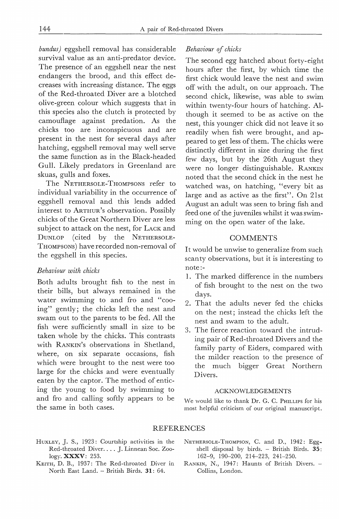*bundus)* eggshell removal has considerable survival value as an anti-predator device. The presence of an eggshell near the nest endangers the brood, and this effect decreases with increasing distance. The eggs of the Red-throated Diver are a blotched olive-green colour which suggests that in this species also the clutch is protected by camouflage against predation. As the chicks too are inconspicuous and are present in the nest for several days after hatching, eggshell removal may well serve the same function as in the Black-headed Gull. Likely predators in Greenland are skuas, gulls and foxes.

The NETHERSOLE-THOMPSONS refer to individual variability in the occurrence of eggshell removal and this lends added interest to ARTHUR's observation. Possibly chicks of the Great Northern Diver are less subject to attack on the nest, for LACK and DUNLOP (cited by the NETHERSOLE-THOMPSONS) have recorded non-removal of the eggshell in this species.

## *Behaviour with chicks*

Both adults brought fish to the nest in their bills, but always remained in the water swimming to and fro and "cooing" gently; the chicks left the nest and swam out to the parents to be fed. All the fish were sufficiently small in size to be taken whole by the chicks. This contrasts with RANKIN's observations in Shetland, where, on six separate occasions, fish which were brought to the nest were too large for the chicks and were eventually eaten by the captor. The method of enticing the young to food by swimming to and fro and calling softly appears to be the same in both cases.

### *Behaviour* of *chicks*

The second egg hatched about forty-eight hours after the first, by which time the first chick would leave the nest and swim off with the adult, on our approach. The second chick, likewise, was able to swim within twenty-four hours of hatching. **Al**though it seemed to be as active on the nest, this younger chick did not leave it so readily when fish were brought, and appeared to get less of them. The chicks were distinctly different in size during the first few days, but by the 26th August they were no longer distinguishable. RANKIN noted that the second chick in the nest he watched was, on hatching, "every bit as large and as active as the first". On 21st August an adult was seen to bring fish and feed one of the juveniles whilst it was swimming on the open water of the lake.

#### **COMMENTS**

It would be unwise to generalize from such scanty observations, but it is interesting to note:-

- 1. The marked difference in the numbers of fish brought to the nest on the two days.
- 2. That the adults never fed the chicks on the nest; instead the chicks left the nest and swam to the adult.
- 3. The fierce reaction toward the intruding pair of Red-throated Divers and the family party of Eiders, compared with the milder reaction to the presence of the much bigger Great Northern Divers.

#### ACKNOWLEDGEMENTS

We would like to thank Dr. G. C. PHILLIPS for his most helpful criticism of our original manuscript.

#### REFERENCES

- HuxLEY, J. S., 1923: Courtship activities in the Red-thtoated Diver. ... J. Linnean Soc. Zoology. XXXV: 253.
- KEITH, D. B., 1937: The Red-throated Diver in North East Land. - British Birds. 31: 64.
- NETHERSOLE-THOMPSON, C. and D., 1942: Eggshell disposal by birds. - British Birds. 35: 162-9, 190-200, 214-223, 241-250.
- RANKIN, N., 1947: Haunts of British Divers. -Collins, London.